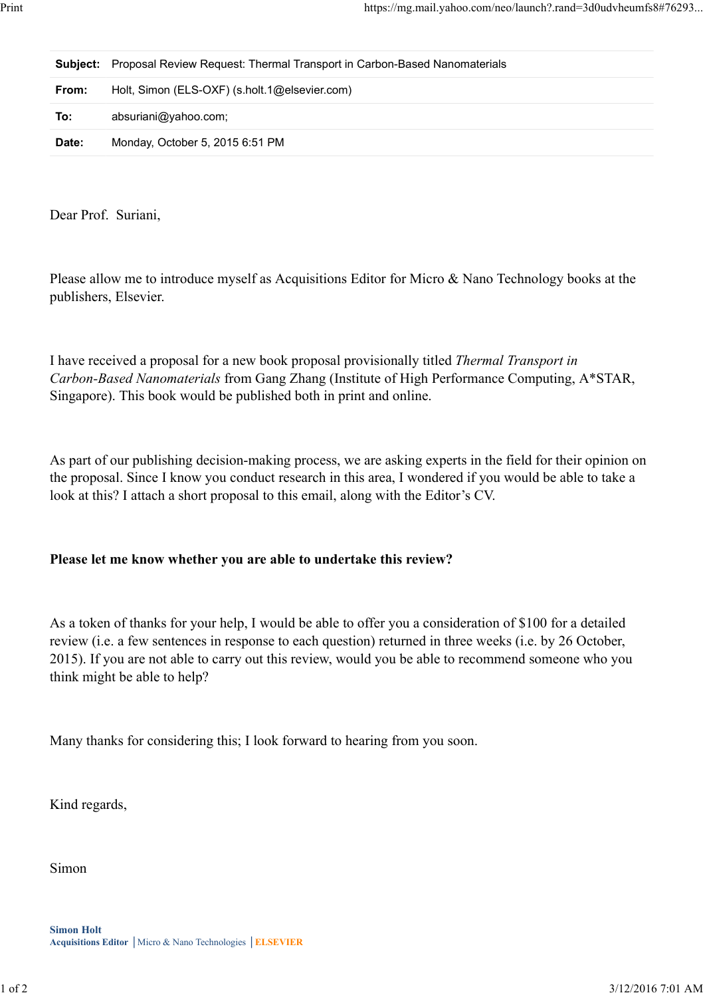|       | <b>Subject:</b> Proposal Review Request: Thermal Transport in Carbon-Based Nanomaterials |
|-------|------------------------------------------------------------------------------------------|
| From: | Holt, Simon (ELS-OXF) (s.holt.1@elsevier.com)                                            |
| To:   | absuriani@yahoo.com;                                                                     |
| Date: | Monday, October 5, 2015 6:51 PM                                                          |

Dear Prof. Suriani,

Please allow me to introduce myself as Acquisitions Editor for Micro & Nano Technology books at the publishers, Elsevier.

I have received a proposal for a new book proposal provisionally titled *Thermal Transport in Carbon-Based Nanomaterials* from Gang Zhang (Institute of High Performance Computing, A\*STAR, Singapore). This book would be published both in print and online.

As part of our publishing decision-making process, we are asking experts in the field for their opinion on the proposal. Since I know you conduct research in this area, I wondered if you would be able to take a look at this? I attach a short proposal to this email, along with the Editor's CV.

### **Please let me know whether you are able to undertake this review?**

As a token of thanks for your help, I would be able to offer you a consideration of \$100 for a detailed review (i.e. a few sentences in response to each question) returned in three weeks (i.e. by 26 October, 2015). If you are not able to carry out this review, would you be able to recommend someone who you think might be able to help?

Many thanks for considering this; I look forward to hearing from you soon.

Kind regards,

Simon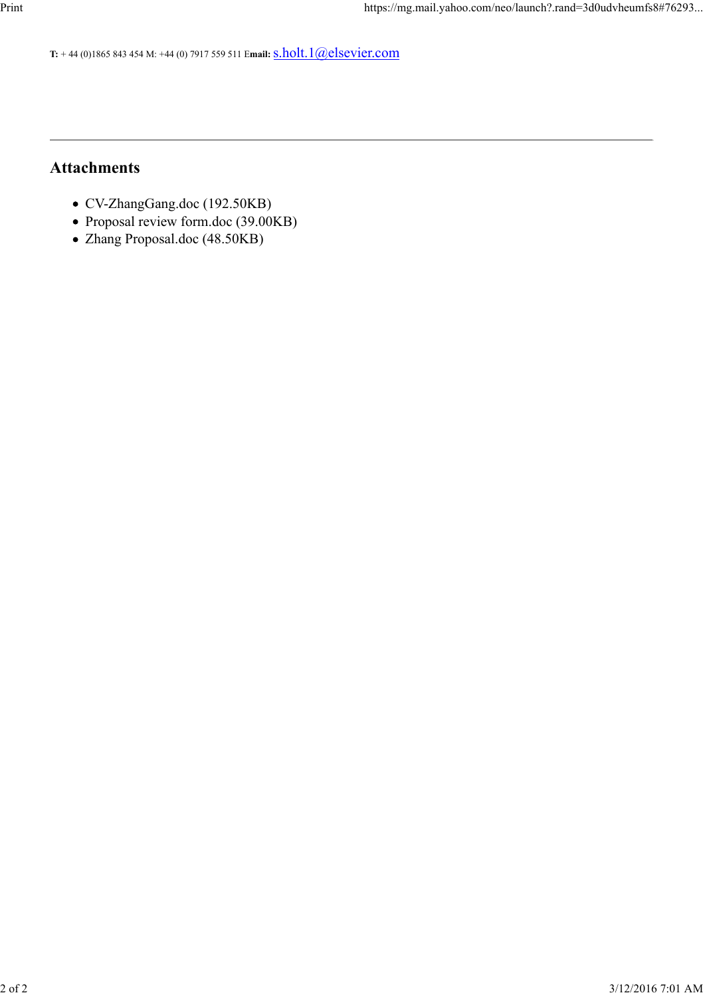T: +44 (0)1865 843 454 M: +44 (0) 7917 559 511 Email: **S.holt.1@elsevier.com** 

# **Attachments**

- CV-ZhangGang.doc (192.50KB)
- Proposal review form.doc (39.00KB)
- Zhang Proposal.doc (48.50KB)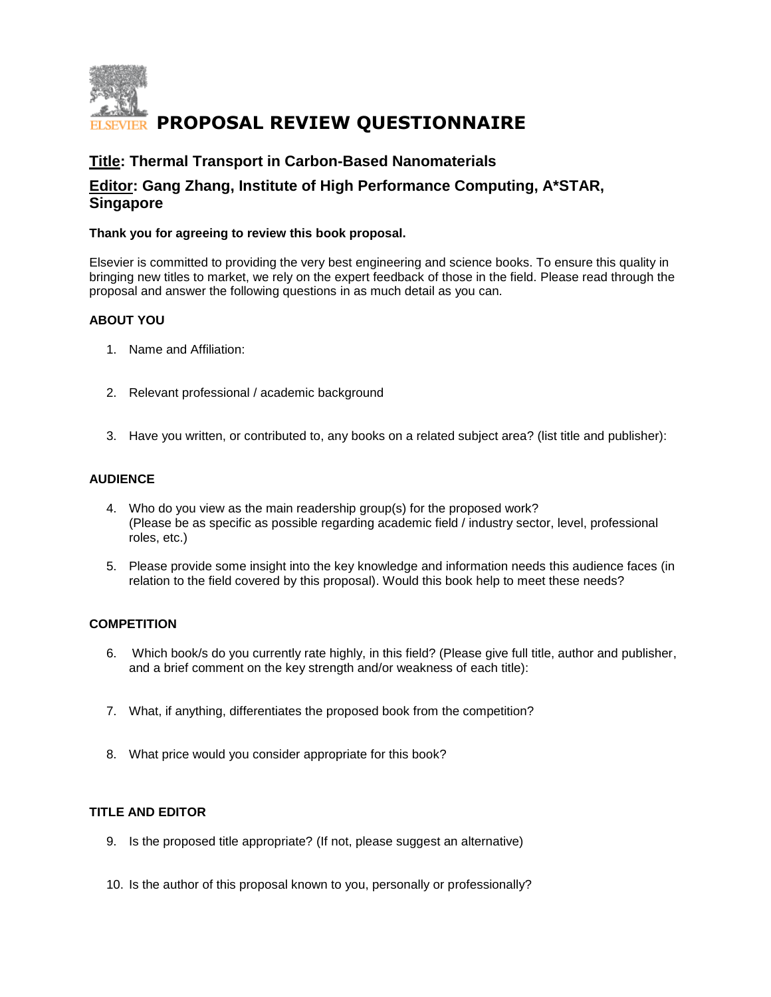

# **Title: Thermal Transport in Carbon-Based Nanomaterials**

### **Editor: Gang Zhang, Institute of High Performance Computing, A\*STAR, Singapore**

### **Thank you for agreeing to review this book proposal.**

Elsevier is committed to providing the very best engineering and science books. To ensure this quality in bringing new titles to market, we rely on the expert feedback of those in the field. Please read through the proposal and answer the following questions in as much detail as you can.

### **ABOUT YOU**

- 1. Name and Affiliation:
- 2. Relevant professional / academic background
- 3. Have you written, or contributed to, any books on a related subject area? (list title and publisher):

### **AUDIENCE**

- 4. Who do you view as the main readership group(s) for the proposed work? (Please be as specific as possible regarding academic field / industry sector, level, professional roles, etc.)
- 5. Please provide some insight into the key knowledge and information needs this audience faces (in relation to the field covered by this proposal). Would this book help to meet these needs?

### **COMPETITION**

- 6. Which book/s do you currently rate highly, in this field? (Please give full title, author and publisher, and a brief comment on the key strength and/or weakness of each title):
- 7. What, if anything, differentiates the proposed book from the competition?
- 8. What price would you consider appropriate for this book?

#### **TITLE AND EDITOR**

- 9. Is the proposed title appropriate? (If not, please suggest an alternative)
- 10. Is the author of this proposal known to you, personally or professionally?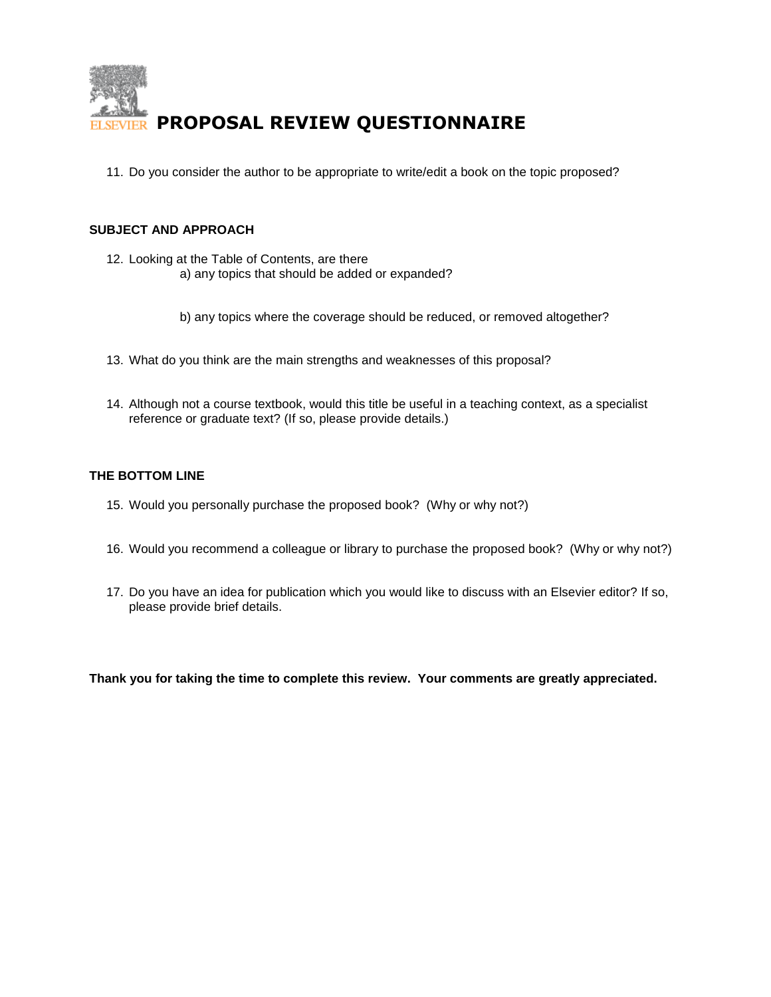

11. Do you consider the author to be appropriate to write/edit a book on the topic proposed?

### **SUBJECT AND APPROACH**

- 12. Looking at the Table of Contents, are there a) any topics that should be added or expanded?
	- b) any topics where the coverage should be reduced, or removed altogether?
- 13. What do you think are the main strengths and weaknesses of this proposal?
- 14. Although not a course textbook, would this title be useful in a teaching context, as a specialist reference or graduate text? (If so, please provide details.)

### **THE BOTTOM LINE**

- 15. Would you personally purchase the proposed book? (Why or why not?)
- 16. Would you recommend a colleague or library to purchase the proposed book? (Why or why not?)
- 17. Do you have an idea for publication which you would like to discuss with an Elsevier editor? If so, please provide brief details.

**Thank you for taking the time to complete this review. Your comments are greatly appreciated.**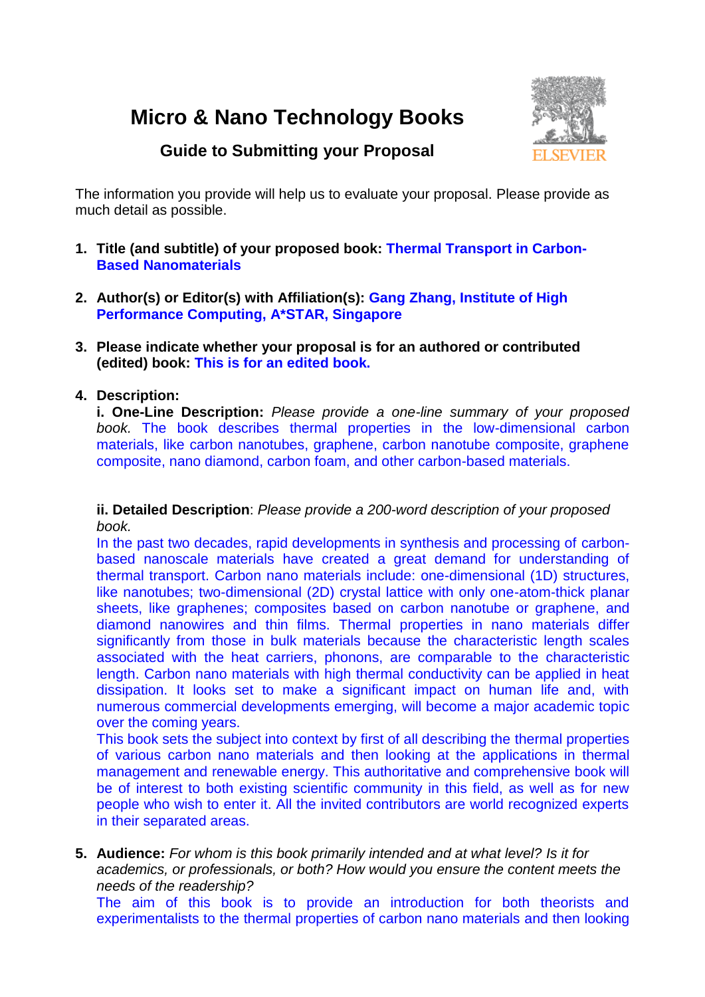# **Micro & Nano Technology Books**



# **Guide to Submitting your Proposal**

The information you provide will help us to evaluate your proposal. Please provide as much detail as possible.

- **1. Title (and subtitle) of your proposed book: Thermal Transport in Carbon-Based Nanomaterials**
- **2. Author(s) or Editor(s) with Affiliation(s): Gang Zhang, Institute of High Performance Computing, A\*STAR, Singapore**
- **3. Please indicate whether your proposal is for an authored or contributed (edited) book: This is for an edited book.**
- **4. Description:**

**i. One-Line Description:** *Please provide a one-line summary of your proposed book.* The book describes thermal properties in the low-dimensional carbon materials, like carbon nanotubes, graphene, carbon nanotube composite, graphene composite, nano diamond, carbon foam, and other carbon-based materials.

**ii. Detailed Description**: *Please provide a 200-word description of your proposed book.*

In the past two decades, rapid developments in synthesis and processing of carbonbased nanoscale materials have created a great demand for understanding of thermal transport. Carbon nano materials include: one-dimensional (1D) structures, like nanotubes; two-dimensional (2D) crystal lattice with only one-atom-thick planar sheets, like graphenes; composites based on carbon nanotube or graphene, and diamond nanowires and thin films. Thermal properties in nano materials differ significantly from those in bulk materials because the characteristic length scales associated with the heat carriers, phonons, are comparable to the characteristic length. Carbon nano materials with high thermal conductivity can be applied in heat dissipation. It looks set to make a significant impact on human life and, with numerous commercial developments emerging, will become a major academic topic over the coming years.

This book sets the subject into context by first of all describing the thermal properties of various carbon nano materials and then looking at the applications in thermal management and renewable energy. This authoritative and comprehensive book will be of interest to both existing scientific community in this field, as well as for new people who wish to enter it. All the invited contributors are world recognized experts in their separated areas.

**5. Audience:** *For whom is this book primarily intended and at what level? Is it for academics, or professionals, or both? How would you ensure the content meets the needs of the readership?*

The aim of this book is to provide an introduction for both theorists and experimentalists to the thermal properties of carbon nano materials and then looking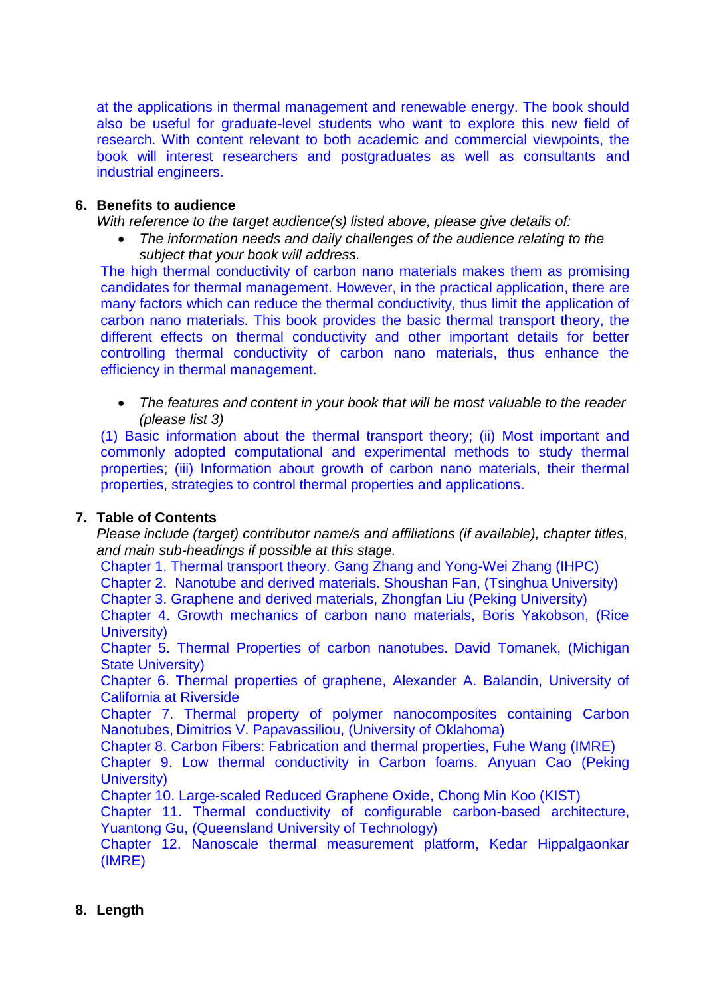at the applications in thermal management and renewable energy. The book should also be useful for graduate-level students who want to explore this new field of research. With content relevant to both academic and commercial viewpoints, the book will interest researchers and postgraduates as well as consultants and industrial engineers.

## **6. Benefits to audience**

*With reference to the target audience(s) listed above, please give details of:* 

 *The information needs and daily challenges of the audience relating to the subject that your book will address.*

The high thermal conductivity of carbon nano materials makes them as promising candidates for thermal management. However, in the practical application, there are many factors which can reduce the thermal conductivity, thus limit the application of carbon nano materials. This book provides the basic thermal transport theory, the different effects on thermal conductivity and other important details for better controlling thermal conductivity of carbon nano materials, thus enhance the efficiency in thermal management.

 *The features and content in your book that will be most valuable to the reader (please list 3)*

(1) Basic information about the thermal transport theory; (ii) Most important and commonly adopted computational and experimental methods to study thermal properties; (iii) Information about growth of carbon nano materials, their thermal properties, strategies to control thermal properties and applications.

# **7. Table of Contents**

*Please include (target) contributor name/s and affiliations (if available), chapter titles, and main sub-headings if possible at this stage.*

Chapter 1. Thermal transport theory. Gang Zhang and Yong-Wei Zhang (IHPC)

Chapter 2. Nanotube and derived materials. Shoushan Fan, (Tsinghua University) Chapter 3. Graphene and derived materials, Zhongfan Liu (Peking University)

Chapter 4. Growth mechanics of carbon nano materials, Boris Yakobson, (Rice University)

Chapter 5. Thermal Properties of carbon nanotubes. David Tomanek, (Michigan State University)

Chapter 6. Thermal properties of graphene, Alexander A. Balandin, University of California at Riverside

Chapter 7. Thermal property of polymer nanocomposites containing Carbon Nanotubes, Dimitrios V. Papavassiliou, (University of Oklahoma)

Chapter 8. Carbon Fibers: Fabrication and thermal properties, Fuhe Wang (IMRE)

Chapter 9. Low thermal conductivity in Carbon foams. Anyuan Cao (Peking University)

Chapter 10. Large-scaled Reduced Graphene Oxide, Chong Min Koo (KIST)

Chapter 11. Thermal conductivity of configurable carbon-based architecture, Yuantong Gu, (Queensland University of Technology)

Chapter 12. Nanoscale thermal measurement platform, Kedar Hippalgaonkar (IMRE)

### **8. Length**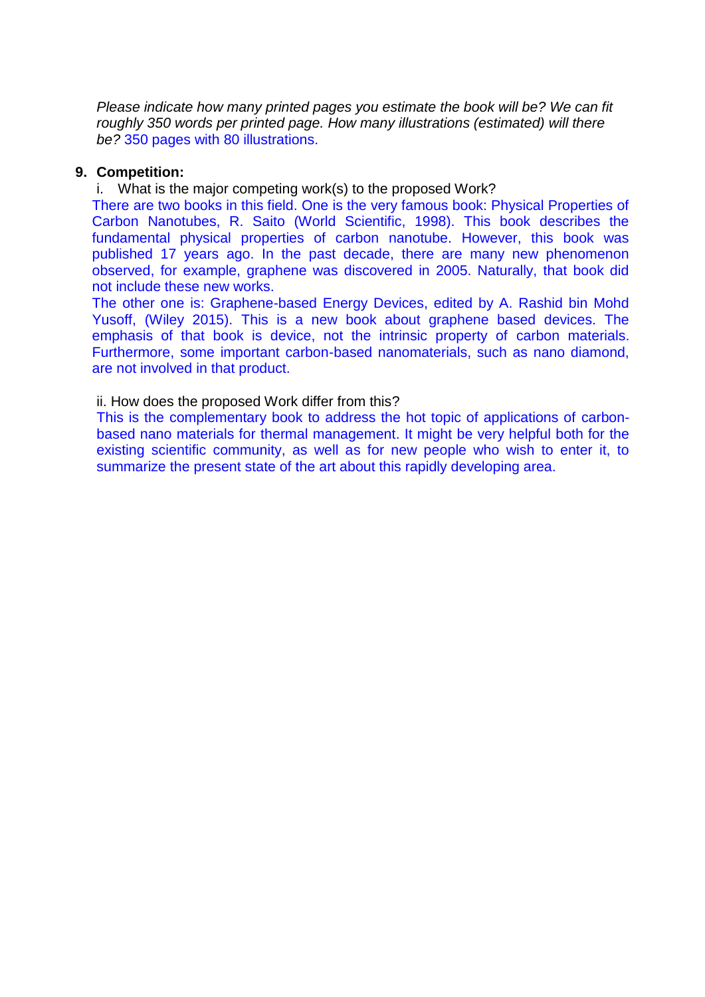*Please indicate how many printed pages you estimate the book will be? We can fit roughly 350 words per printed page. How many illustrations (estimated) will there be?* 350 pages with 80 illustrations.

### **9. Competition:**

i. What is the major competing work(s) to the proposed Work?

There are two books in this field. One is the very famous book: Physical Properties of Carbon Nanotubes, R. Saito (World Scientific, 1998). This book describes the fundamental physical properties of carbon nanotube. However, this book was published 17 years ago. In the past decade, there are many new phenomenon observed, for example, graphene was discovered in 2005. Naturally, that book did not include these new works.

The other one is: Graphene-based Energy Devices, edited by A. Rashid bin Mohd Yusoff, (Wiley 2015). This is a new book about graphene based devices. The emphasis of that book is device, not the intrinsic property of carbon materials. Furthermore, some important carbon-based nanomaterials, such as nano diamond, are not involved in that product.

ii. How does the proposed Work differ from this?

This is the complementary book to address the hot topic of applications of carbonbased nano materials for thermal management. It might be very helpful both for the existing scientific community, as well as for new people who wish to enter it, to summarize the present state of the art about this rapidly developing area.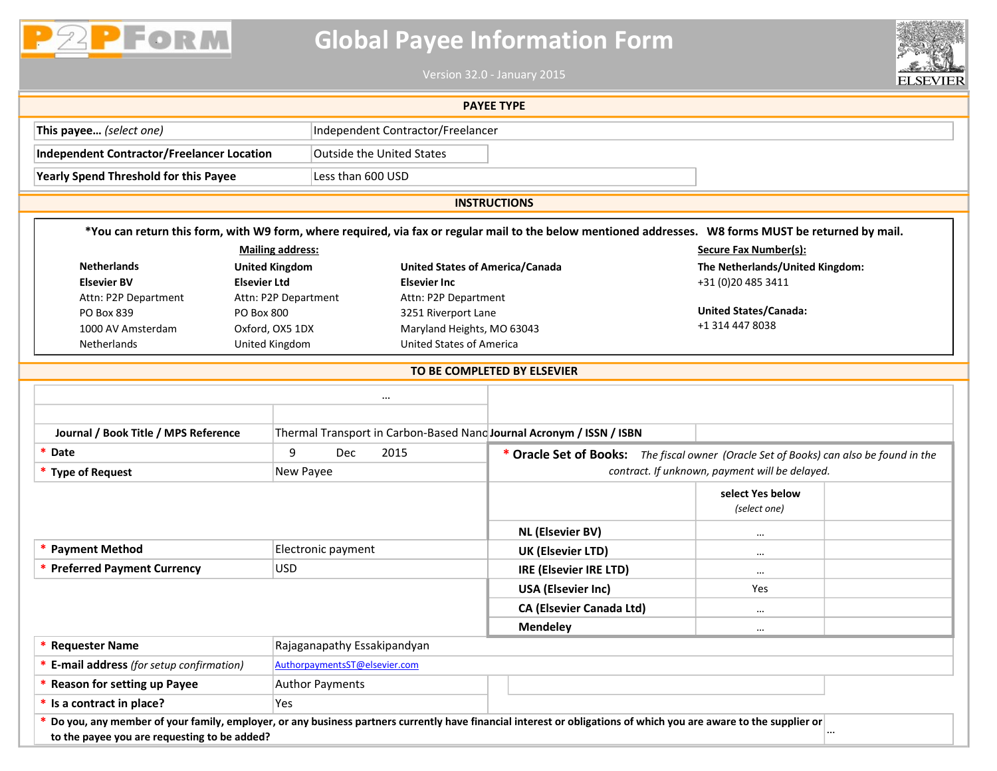

# Global Payee Information Form



|                                                                                                                                                                                                                  |                                   | <b>PAYEE TYPE</b>                                                                                     |                                        |                                                                      |                                 |  |  |  |  |
|------------------------------------------------------------------------------------------------------------------------------------------------------------------------------------------------------------------|-----------------------------------|-------------------------------------------------------------------------------------------------------|----------------------------------------|----------------------------------------------------------------------|---------------------------------|--|--|--|--|
| This payee (select one)                                                                                                                                                                                          | Independent Contractor/Freelancer |                                                                                                       |                                        |                                                                      |                                 |  |  |  |  |
| <b>Independent Contractor/Freelancer Location</b>                                                                                                                                                                | <b>Outside the United States</b>  |                                                                                                       |                                        |                                                                      |                                 |  |  |  |  |
| Yearly Spend Threshold for this Payee                                                                                                                                                                            |                                   | Less than 600 USD                                                                                     |                                        |                                                                      |                                 |  |  |  |  |
| <b>INSTRUCTIONS</b>                                                                                                                                                                                              |                                   |                                                                                                       |                                        |                                                                      |                                 |  |  |  |  |
|                                                                                                                                                                                                                  |                                   |                                                                                                       |                                        |                                                                      |                                 |  |  |  |  |
| *You can return this form, with W9 form, where required, via fax or regular mail to the below mentioned addresses. W8 forms MUST be returned by mail.<br><b>Mailing address:</b><br><b>Secure Fax Number(s):</b> |                                   |                                                                                                       |                                        |                                                                      |                                 |  |  |  |  |
| <b>Netherlands</b>                                                                                                                                                                                               | <b>United Kingdom</b>             |                                                                                                       | <b>United States of America/Canada</b> |                                                                      | The Netherlands/United Kingdom: |  |  |  |  |
| <b>Elsevier BV</b>                                                                                                                                                                                               | <b>Elsevier Ltd</b>               | <b>Elsevier Inc</b>                                                                                   |                                        | +31 (0)20 485 3411                                                   |                                 |  |  |  |  |
| Attn: P2P Department                                                                                                                                                                                             | Attn: P2P Department              |                                                                                                       | Attn: P2P Department                   |                                                                      |                                 |  |  |  |  |
| PO Box 839<br><b>PO Box 800</b>                                                                                                                                                                                  |                                   |                                                                                                       | 3251 Riverport Lane                    |                                                                      | <b>United States/Canada:</b>    |  |  |  |  |
| 1000 AV Amsterdam                                                                                                                                                                                                | Oxford, OX5 1DX                   |                                                                                                       | Maryland Heights, MO 63043             |                                                                      | +1 314 447 8038                 |  |  |  |  |
| Netherlands                                                                                                                                                                                                      | United Kingdom                    |                                                                                                       | United States of America               |                                                                      |                                 |  |  |  |  |
|                                                                                                                                                                                                                  |                                   |                                                                                                       |                                        | TO BE COMPLETED BY ELSEVIER                                          |                                 |  |  |  |  |
|                                                                                                                                                                                                                  |                                   | $\ddotsc$                                                                                             |                                        |                                                                      |                                 |  |  |  |  |
|                                                                                                                                                                                                                  |                                   |                                                                                                       |                                        |                                                                      |                                 |  |  |  |  |
| Journal / Book Title / MPS Reference                                                                                                                                                                             |                                   |                                                                                                       |                                        | Thermal Transport in Carbon-Based Nand Journal Acronym / ISSN / ISBN |                                 |  |  |  |  |
| * Date                                                                                                                                                                                                           | 9                                 | 2015<br>Dec<br>* Oracle Set of Books: The fiscal owner (Oracle Set of Books) can also be found in the |                                        |                                                                      |                                 |  |  |  |  |
| * Type of Request                                                                                                                                                                                                |                                   | New Payee                                                                                             |                                        | contract. If unknown, payment will be delayed.                       |                                 |  |  |  |  |
|                                                                                                                                                                                                                  |                                   |                                                                                                       |                                        |                                                                      | select Yes below                |  |  |  |  |
|                                                                                                                                                                                                                  |                                   |                                                                                                       |                                        |                                                                      | (select one)                    |  |  |  |  |
|                                                                                                                                                                                                                  |                                   |                                                                                                       |                                        | <b>NL (Elsevier BV)</b>                                              | $\cdots$                        |  |  |  |  |
| <b>Payment Method</b>                                                                                                                                                                                            |                                   | Electronic payment                                                                                    |                                        | UK (Elsevier LTD)                                                    | $\ddotsc$                       |  |  |  |  |
| * Preferred Payment Currency                                                                                                                                                                                     | <b>USD</b>                        |                                                                                                       |                                        | <b>IRE (Elsevier IRE LTD)</b>                                        | $\cdots$                        |  |  |  |  |
|                                                                                                                                                                                                                  |                                   |                                                                                                       |                                        | <b>USA (Elsevier Inc)</b>                                            | Yes                             |  |  |  |  |
|                                                                                                                                                                                                                  |                                   |                                                                                                       |                                        | <b>CA (Elsevier Canada Ltd)</b>                                      | $\cdots$                        |  |  |  |  |
|                                                                                                                                                                                                                  |                                   |                                                                                                       |                                        | <b>Mendeley</b>                                                      | $\cdots$                        |  |  |  |  |
| * Requester Name                                                                                                                                                                                                 |                                   | Rajaganapathy Essakipandyan                                                                           |                                        |                                                                      |                                 |  |  |  |  |
| * E-mail address (for setup confirmation)                                                                                                                                                                        |                                   | AuthorpaymentsST@elsevier.com                                                                         |                                        |                                                                      |                                 |  |  |  |  |
| * Reason for setting up Payee                                                                                                                                                                                    |                                   | <b>Author Payments</b>                                                                                |                                        |                                                                      |                                 |  |  |  |  |
| * Is a contract in place?<br>Yes                                                                                                                                                                                 |                                   |                                                                                                       |                                        |                                                                      |                                 |  |  |  |  |
| * Do you, any member of your family, employer, or any business partners currently have financial interest or obligations of which you are aware to the supplier or                                               |                                   |                                                                                                       |                                        |                                                                      |                                 |  |  |  |  |
| to the payee you are requesting to be added?                                                                                                                                                                     |                                   |                                                                                                       |                                        |                                                                      |                                 |  |  |  |  |